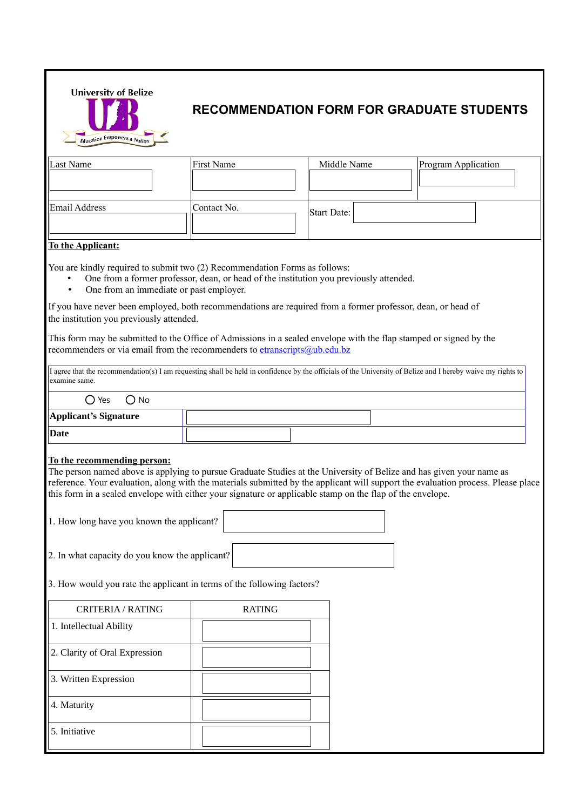

## **RECOMMENDATION FORM FOR GRADUATE STUDENTS**

| Last Name     | First Name  | Middle Name | Program Application |  |  |  |
|---------------|-------------|-------------|---------------------|--|--|--|
| Email Address | Contact No. | Start Date: |                     |  |  |  |

## **To the Applicant:**

You are kindly required to submit two (2) Recommendation Forms as follows:

- One from a former professor, dean, or head of the institution you previously attended.
- One from an immediate or past employer.

If you have never been employed, both recommendations are required from a former professor, dean, or head of the institution you previously attended.

This form may be submitted to the Office of Admissions in a sealed envelope with the flap stamped or signed by the recommenders or via email from the recommenders to [etranscripts@ub.edu.bz](mailto:etranscripts@ub.edu.bz)

I agree that the recommendation(s) I am requesting shall be held in confidence by the officials of the University of Belize and I hereby waive my rights to examine same.

| $\bigcirc$ Yes<br>$O$ No |  |
|--------------------------|--|
| Applicant's Signature    |  |
| Date                     |  |

## **To the recommending person:**

The person named above is applying to pursue Graduate Studies at the University of Belize and has given your name as reference. Your evaluation, along with the materials submitted by the applicant will support the evaluation process. Please place this form in a sealed envelope with either your signature or applicable stamp on the flap of the envelope.

1. How long have you known the applicant?

2. In what capacity do you know the applicant?

3. How would you rate the applicant in terms of the following factors?

| CRITERIA / RATING             | <b>RATING</b> |  |
|-------------------------------|---------------|--|
| 1. Intellectual Ability       |               |  |
| 2. Clarity of Oral Expression |               |  |
| 3. Written Expression         |               |  |
| 4. Maturity                   |               |  |
| 5. Initiative                 |               |  |